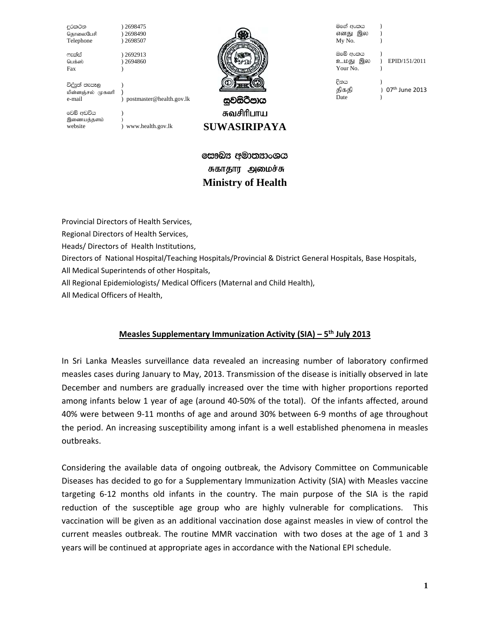දුරකථන ) 2698475<br>தொலைபேசி ) 2698490 தொலைபேசி Telephone ) 2698507

\*elaia ) 2692913 Fax )

විද්යුත් තැපෑල மின்னஞ்சல் முகவரி )

) 2694860



සවසිටීපාය சுவசிரிபாய **SUWASIRIPAYA** 

වෙබ් අඩවිය இணையத்தளம்

website ) www.health.gov.lk

e-mail ) postmaster@health.gov.lk

මගේ අංකය எனது இல My No. ඔබේ අංකය<br>உமது இல ) EPID/151/2011 Your No.  $\qquad$  ) විනය திகதி ) 07<sup>th</sup> June 2013 Date

සෞඛ $x$  අමාතනාංශය சுகாதார அமைச்சு **Ministry of Health** 

Provincial Directors of Health Services,

Regional Directors of Health Services,

Heads/ Directors of Health Institutions,

Directors of National Hospital/Teaching Hospitals/Provincial & District General Hospitals, Base Hospitals,

All Medical Superintends of other Hospitals,

All Regional Epidemiologists/ Medical Officers (Maternal and Child Health),

All Medical Officers of Health,

# **Measles Supplementary Immunization Activity (SIA) – 5th July 2013**

In Sri Lanka Measles surveillance data revealed an increasing number of laboratory confirmed measles cases during January to May, 2013. Transmission of the disease is initially observed in late December and numbers are gradually increased over the time with higher proportions reported among infants below 1 year of age (around 40‐50% of the total). Of the infants affected, around 40% were between 9‐11 months of age and around 30% between 6‐9 months of age throughout the period. An increasing susceptibility among infant is a well established phenomena in measles outbreaks.

Considering the available data of ongoing outbreak, the Advisory Committee on Communicable Diseases has decided to go for a Supplementary Immunization Activity (SIA) with Measles vaccine targeting 6‐12 months old infants in the country. The main purpose of the SIA is the rapid reduction of the susceptible age group who are highly vulnerable for complications. This vaccination will be given as an additional vaccination dose against measles in view of control the current measles outbreak. The routine MMR vaccination with two doses at the age of 1 and 3 years will be continued at appropriate ages in accordance with the National EPI schedule.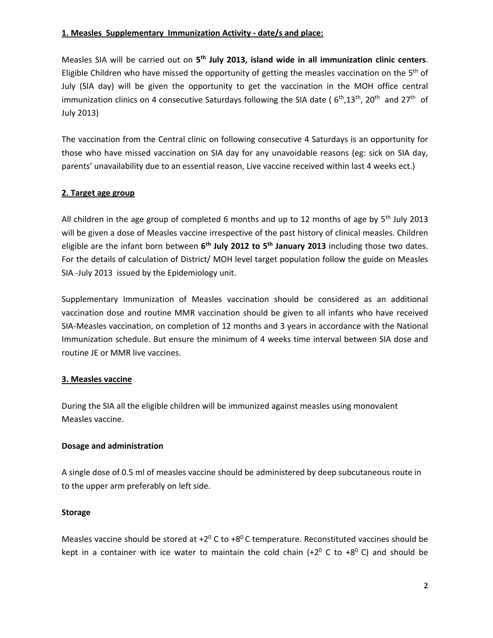### **1. Measles Supplementary Immunization Activity ‐ date/s and place:**

Measles SIA will be carried out on **5th July 2013, island wide in all immunization clinic centers**. Eligible Children who have missed the opportunity of getting the measles vaccination on the 5<sup>th</sup> of July (SIA day) will be given the opportunity to get the vaccination in the MOH office central immunization clinics on 4 consecutive Saturdays following the SIA date ( $6th,13th,20th$  and  $27th$  of July 2013)

The vaccination from the Central clinic on following consecutive 4 Saturdays is an opportunity for those who have missed vaccination on SIA day for any unavoidable reasons (eg: sick on SIA day, parents' unavailability due to an essential reason, Live vaccine received within last 4 weeks ect.)

# **2. Target age group**

All children in the age group of completed 6 months and up to 12 months of age by  $5<sup>th</sup>$  July 2013 will be given a dose of Measles vaccine irrespective of the past history of clinical measles. Children eligible are the infant born between **6th July 2012 to 5th January 2013** including those two dates. For the details of calculation of District/ MOH level target population follow the guide on Measles SIA ‐July 2013 issued by the Epidemiology unit.

Supplementary Immunization of Measles vaccination should be considered as an additional vaccination dose and routine MMR vaccination should be given to all infants who have received SIA‐Measles vaccination, on completion of 12 months and 3 years in accordance with the National Immunization schedule. But ensure the minimum of 4 weeks time interval between SIA dose and routine JE or MMR live vaccines.

### **3. Measles vaccine**

During the SIA all the eligible children will be immunized against measles using monovalent Measles vaccine.

### **Dosage and administration**

A single dose of 0.5 ml of measles vaccine should be administered by deep subcutaneous route in to the upper arm preferably on left side.

### **Storage**

Measles vaccine should be stored at  $+2^0$  C to  $+8^0$  C temperature. Reconstituted vaccines should be kept in a container with ice water to maintain the cold chain  $(+2^{\circ}$  C to  $+8^{\circ}$  C) and should be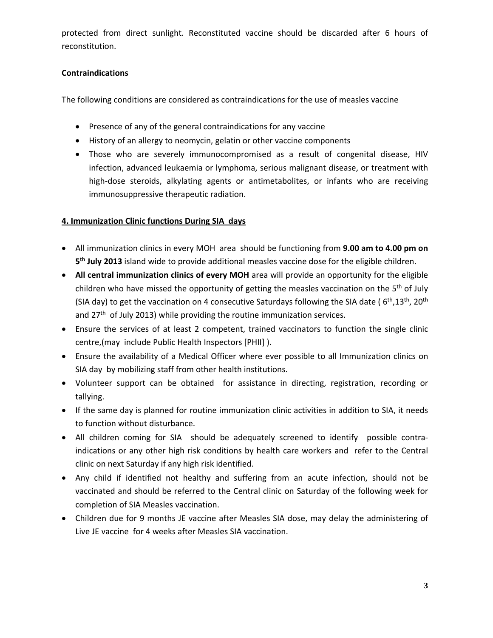protected from direct sunlight. Reconstituted vaccine should be discarded after 6 hours of reconstitution.

# **Contraindications**

The following conditions are considered as contraindications for the use of measles vaccine

- Presence of any of the general contraindications for any vaccine
- History of an allergy to neomycin, gelatin or other vaccine components
- Those who are severely immunocompromised as a result of congenital disease, HIV infection, advanced leukaemia or lymphoma, serious malignant disease, or treatment with high-dose steroids, alkylating agents or antimetabolites, or infants who are receiving immunosuppressive therapeutic radiation.

# **4. Immunization Clinic functions During SIA days**

- All immunization clinics in every MOH area should be functioning from **9.00 am to 4.00 pm on 5th July 2013** island wide to provide additional measles vaccine dose for the eligible children.
- **All central immunization clinics of every MOH** area will provide an opportunity for the eligible children who have missed the opportunity of getting the measles vaccination on the 5<sup>th</sup> of July (SIA day) to get the vaccination on 4 consecutive Saturdays following the SIA date ( $6<sup>th</sup>$ ,13<sup>th</sup>, 20<sup>th</sup>) and 27<sup>th</sup> of July 2013) while providing the routine immunization services.
- Ensure the services of at least 2 competent, trained vaccinators to function the single clinic centre,(may include Public Health Inspectors [PHII] ).
- Ensure the availability of a Medical Officer where ever possible to all Immunization clinics on SIA day by mobilizing staff from other health institutions.
- Volunteer support can be obtained for assistance in directing, registration, recording or tallying.
- If the same day is planned for routine immunization clinic activities in addition to SIA, it needs to function without disturbance.
- All children coming for SIA should be adequately screened to identify possible contraindications or any other high risk conditions by health care workers and refer to the Central clinic on next Saturday if any high risk identified.
- Any child if identified not healthy and suffering from an acute infection, should not be vaccinated and should be referred to the Central clinic on Saturday of the following week for completion of SIA Measles vaccination.
- Children due for 9 months JE vaccine after Measles SIA dose, may delay the administering of Live JE vaccine for 4 weeks after Measles SIA vaccination.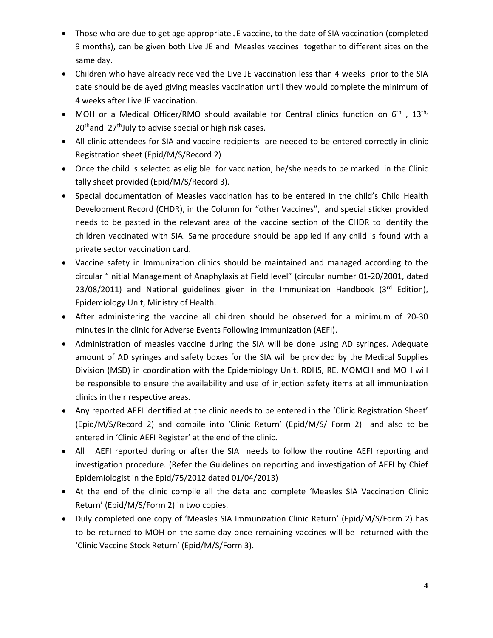- Those who are due to get age appropriate JE vaccine, to the date of SIA vaccination (completed 9 months), can be given both Live JE and Measles vaccines together to different sites on the same day.
- Children who have already received the Live JE vaccination less than 4 weeks prior to the SIA date should be delayed giving measles vaccination until they would complete the minimum of 4 weeks after Live JE vaccination.
- MOH or a Medical Officer/RMO should available for Central clinics function on  $6<sup>th</sup>$ , 13<sup>th,</sup> 20<sup>th</sup>and 27<sup>th</sup>July to advise special or high risk cases.
- All clinic attendees for SIA and vaccine recipients are needed to be entered correctly in clinic Registration sheet (Epid/M/S/Record 2)
- Once the child is selected as eligible for vaccination, he/she needs to be marked in the Clinic tally sheet provided (Epid/M/S/Record 3).
- Special documentation of Measles vaccination has to be entered in the child's Child Health Development Record (CHDR), in the Column for "other Vaccines", and special sticker provided needs to be pasted in the relevant area of the vaccine section of the CHDR to identify the children vaccinated with SIA. Same procedure should be applied if any child is found with a private sector vaccination card.
- Vaccine safety in Immunization clinics should be maintained and managed according to the circular "Initial Management of Anaphylaxis at Field level" (circular number 01‐20/2001, dated  $23/08/2011$ ) and National guidelines given in the Immunization Handbook ( $3<sup>rd</sup>$  Edition), Epidemiology Unit, Ministry of Health.
- After administering the vaccine all children should be observed for a minimum of 20‐30 minutes in the clinic for Adverse Events Following Immunization (AEFI).
- Administration of measles vaccine during the SIA will be done using AD syringes. Adequate amount of AD syringes and safety boxes for the SIA will be provided by the Medical Supplies Division (MSD) in coordination with the Epidemiology Unit. RDHS, RE, MOMCH and MOH will be responsible to ensure the availability and use of injection safety items at all immunization clinics in their respective areas.
- Any reported AEFI identified at the clinic needs to be entered in the 'Clinic Registration Sheet' (Epid/M/S/Record 2) and compile into 'Clinic Return' (Epid/M/S/ Form 2) and also to be entered in 'Clinic AEFI Register' at the end of the clinic.
- All AEFI reported during or after the SIA needs to follow the routine AEFI reporting and investigation procedure. (Refer the Guidelines on reporting and investigation of AEFI by Chief Epidemiologist in the Epid/75/2012 dated 01/04/2013)
- At the end of the clinic compile all the data and complete 'Measles SIA Vaccination Clinic Return' (Epid/M/S/Form 2) in two copies.
- Duly completed one copy of 'Measles SIA Immunization Clinic Return' (Epid/M/S/Form 2) has to be returned to MOH on the same day once remaining vaccines will be returned with the 'Clinic Vaccine Stock Return' (Epid/M/S/Form 3).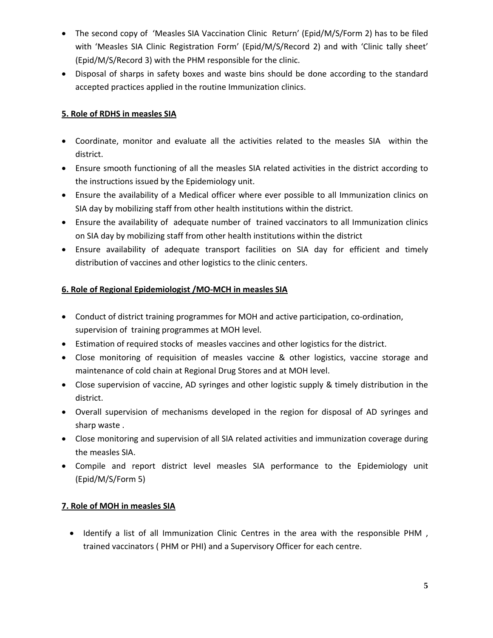- The second copy of 'Measles SIA Vaccination Clinic Return' (Epid/M/S/Form 2) has to be filed with 'Measles SIA Clinic Registration Form' (Epid/M/S/Record 2) and with 'Clinic tally sheet' (Epid/M/S/Record 3) with the PHM responsible for the clinic.
- Disposal of sharps in safety boxes and waste bins should be done according to the standard accepted practices applied in the routine Immunization clinics.

# **5. Role of RDHS in measles SIA**

- Coordinate, monitor and evaluate all the activities related to the measles SIA within the district.
- Ensure smooth functioning of all the measles SIA related activities in the district according to the instructions issued by the Epidemiology unit.
- Ensure the availability of a Medical officer where ever possible to all Immunization clinics on SIA day by mobilizing staff from other health institutions within the district.
- Ensure the availability of adequate number of trained vaccinators to all Immunization clinics on SIA day by mobilizing staff from other health institutions within the district
- Ensure availability of adequate transport facilities on SIA day for efficient and timely distribution of vaccines and other logistics to the clinic centers.

# **6. Role of Regional Epidemiologist /MO‐MCH in measles SIA**

- Conduct of district training programmes for MOH and active participation, co-ordination, supervision of training programmes at MOH level.
- Estimation of required stocks of measles vaccines and other logistics for the district.
- Close monitoring of requisition of measles vaccine & other logistics, vaccine storage and maintenance of cold chain at Regional Drug Stores and at MOH level.
- Close supervision of vaccine, AD syringes and other logistic supply & timely distribution in the district.
- Overall supervision of mechanisms developed in the region for disposal of AD syringes and sharp waste .
- Close monitoring and supervision of all SIA related activities and immunization coverage during the measles SIA.
- Compile and report district level measles SIA performance to the Epidemiology unit (Epid/M/S/Form 5)

### **7. Role of MOH in measles SIA**

• Identify a list of all Immunization Clinic Centres in the area with the responsible PHM, trained vaccinators ( PHM or PHI) and a Supervisory Officer for each centre.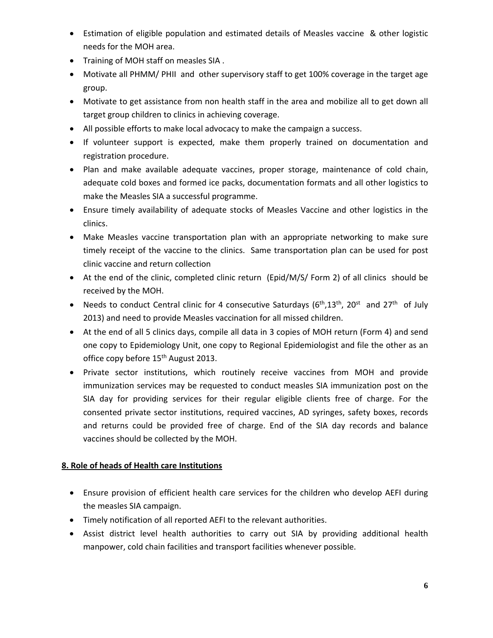- Estimation of eligible population and estimated details of Measles vaccine & other logistic needs for the MOH area.
- Training of MOH staff on measles SIA.
- Motivate all PHMM/ PHII and other supervisory staff to get 100% coverage in the target age group.
- Motivate to get assistance from non health staff in the area and mobilize all to get down all target group children to clinics in achieving coverage.
- All possible efforts to make local advocacy to make the campaign a success.
- If volunteer support is expected, make them properly trained on documentation and registration procedure.
- Plan and make available adequate vaccines, proper storage, maintenance of cold chain, adequate cold boxes and formed ice packs, documentation formats and all other logistics to make the Measles SIA a successful programme.
- Ensure timely availability of adequate stocks of Measles Vaccine and other logistics in the clinics.
- Make Measles vaccine transportation plan with an appropriate networking to make sure timely receipt of the vaccine to the clinics. Same transportation plan can be used for post clinic vaccine and return collection
- At the end of the clinic, completed clinic return (Epid/M/S/ Form 2) of all clinics should be received by the MOH.
- Needs to conduct Central clinic for 4 consecutive Saturdays ( $6<sup>th</sup>,13<sup>th</sup>$ , 20<sup>st</sup> and 27<sup>th</sup> of July 2013) and need to provide Measles vaccination for all missed children.
- At the end of all 5 clinics days, compile all data in 3 copies of MOH return (Form 4) and send one copy to Epidemiology Unit, one copy to Regional Epidemiologist and file the other as an office copy before 15<sup>th</sup> August 2013.
- Private sector institutions, which routinely receive vaccines from MOH and provide immunization services may be requested to conduct measles SIA immunization post on the SIA day for providing services for their regular eligible clients free of charge. For the consented private sector institutions, required vaccines, AD syringes, safety boxes, records and returns could be provided free of charge. End of the SIA day records and balance vaccines should be collected by the MOH.

# **8. Role of heads of Health care Institutions**

- Ensure provision of efficient health care services for the children who develop AEFI during the measles SIA campaign.
- Timely notification of all reported AEFI to the relevant authorities.
- Assist district level health authorities to carry out SIA by providing additional health manpower, cold chain facilities and transport facilities whenever possible.